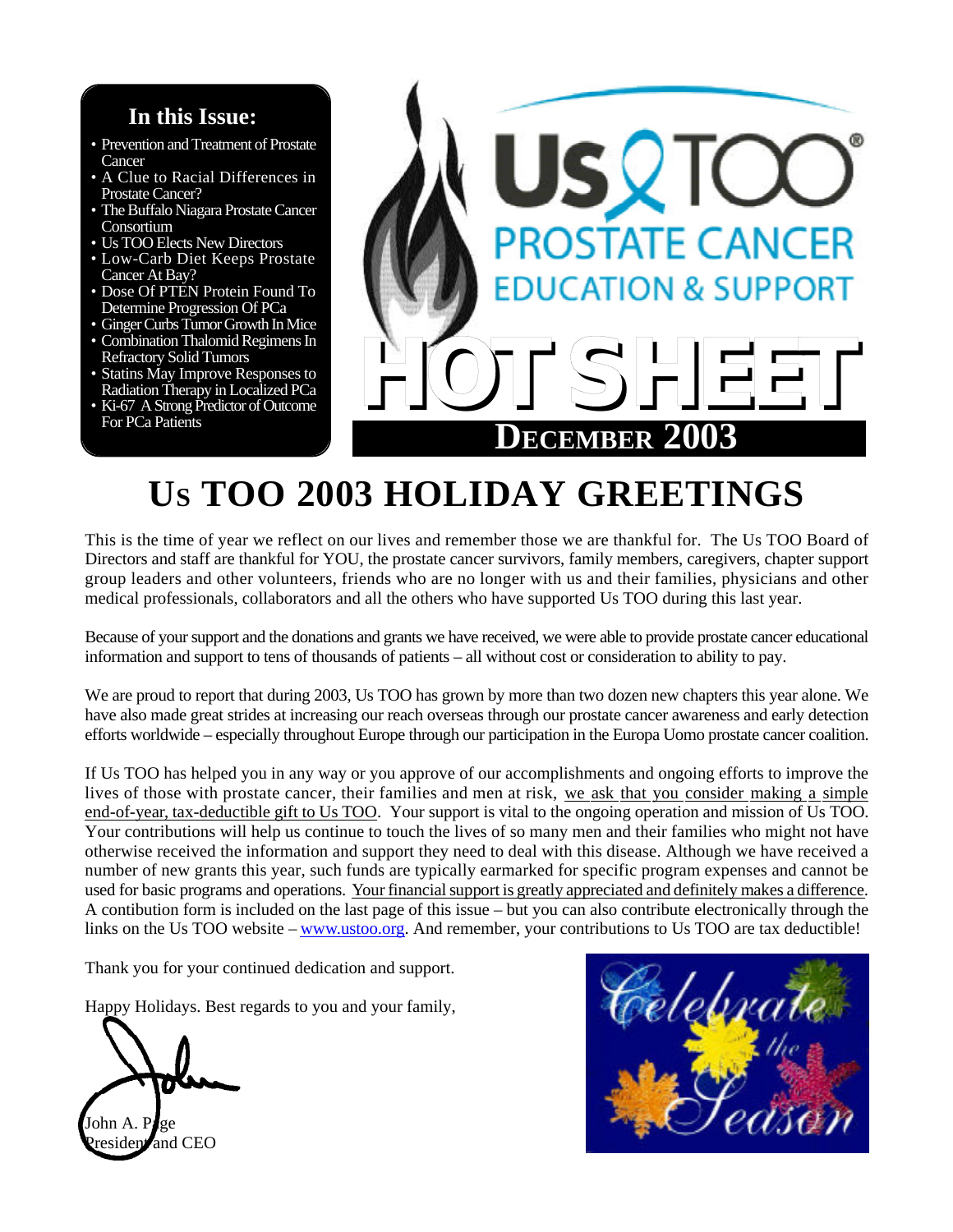# **In this Issue:**

- Prevention and Treatment of Prostate **Cancer**
- A Clue to Racial Differences in Prostate Cancer?
- The Buffalo Niagara Prostate Cancer Consortium
- Us TOO Elects New Directors
- Low-Carb Diet Keeps Prostate Cancer At Bay?
- Dose Of PTEN Protein Found To Determine Progression Of PCa
- Ginger Curbs Tumor Growth In Mice
- Combination Thalomid Regimens In Refractory Solid Tumors
- Statins May Improve Responses to Radiation Therapy in Localized PCa
- Ki-67 A Strong Predictor of Outcome For PCa Patients



# **US TOO 2003 HOLIDAY GREETINGS**

This is the time of year we reflect on our lives and remember those we are thankful for. The Us TOO Board of Directors and staff are thankful for YOU, the prostate cancer survivors, family members, caregivers, chapter support group leaders and other volunteers, friends who are no longer with us and their families, physicians and other medical professionals, collaborators and all the others who have supported Us TOO during this last year.

Because of your support and the donations and grants we have received, we were able to provide prostate cancer educational information and support to tens of thousands of patients – all without cost or consideration to ability to pay.

We are proud to report that during 2003, Us TOO has grown by more than two dozen new chapters this year alone. We have also made great strides at increasing our reach overseas through our prostate cancer awareness and early detection efforts worldwide – especially throughout Europe through our participation in the Europa Uomo prostate cancer coalition.

If Us TOO has helped you in any way or you approve of our accomplishments and ongoing efforts to improve the lives of those with prostate cancer, their families and men at risk, we ask that you consider making a simple end-of-year, tax-deductible gift to Us TOO. Your support is vital to the ongoing operation and mission of Us TOO. Your contributions will help us continue to touch the lives of so many men and their families who might not have otherwise received the information and support they need to deal with this disease. Although we have received a number of new grants this year, such funds are typically earmarked for specific program expenses and cannot be used for basic programs and operations. Your financialsupport is greatly appreciated and definitely makes a difference. A contibution form is included on the last page of this issue – but you can also contribute electronically through the links on the Us TOO website – www.ustoo.org. And remember, your contributions to Us TOO are tax deductible!

Thank you for your continued dedication and support.

Happy Holidays. Best regards to you and your family,

John A. P**l**ge  $residen$  and CEO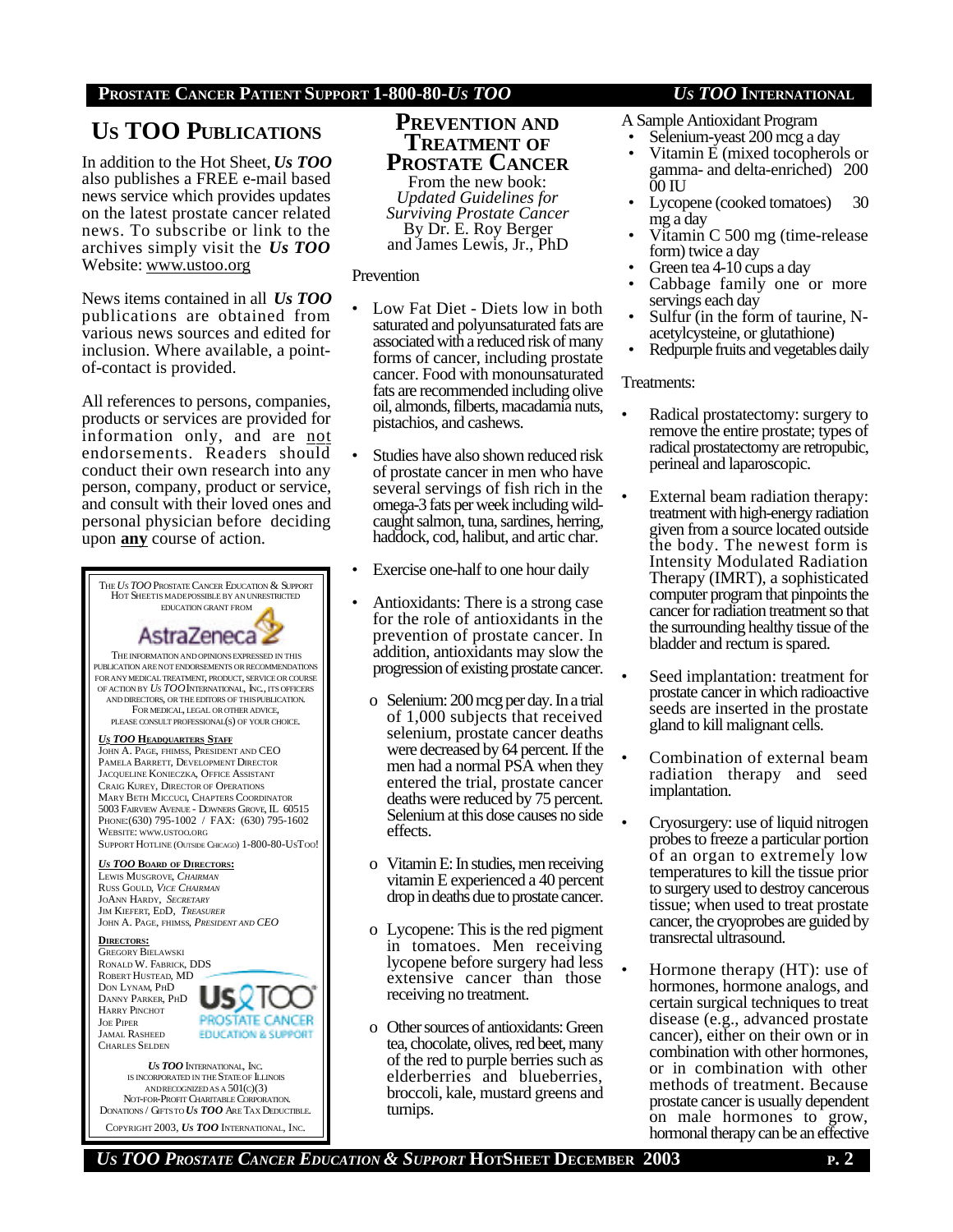# **US TOO PUBLICATIONS**

In addition to the Hot Sheet, *Us TOO* also publishes a FREE e-mail based news service which provides updates on the latest prostate cancer related news. To subscribe or link to the archives simply visit the *Us TOO* Website: www.ustoo.org

News items contained in all *Us TOO* publications are obtained from various news sources and edited for inclusion. Where available, a pointof-contact is provided.

All references to persons, companies, products or services are provided for information only, and are not endorsements. Readers should conduct their own research into any person, company, product or service, and consult with their loved ones and personal physician before deciding upon **any** course of action.



DONATIONS / GIFTSTO *US TOO* ARE TAX DEDUCTIBLE. COPYRIGHT 2003, *US TOO* INTERNATIONAL, INC.

### **PREVENTION AND TREATMENT OF PROSTATE CANCER**

From the new book: *Updated Guidelines for Surviving Prostate Cancer* By Dr. E. Roy Berger and James Lewis, Jr., PhD

#### Prevention

- Low Fat Diet Diets low in both saturated and polyunsaturated fats are associated with a reduced risk of many forms of cancer, including prostate cancer. Food with monounsaturated fats are recommended including olive oil, almonds, filberts, macadamia nuts, pistachios, and cashews.
- Studies have also shown reduced risk of prostate cancer in men who have several servings of fish rich in the omega-3 fats per week including wildcaught salmon, tuna, sardines, herring, haddock, cod, halibut, and artic char.
- Exercise one-half to one hour daily
- Antioxidants: There is a strong case for the role of antioxidants in the prevention of prostate cancer. In addition, antioxidants may slow the progression of existing prostate cancer.
	- o Selenium: 200 mcg per day. In a trial of 1,000 subjects that received selenium, prostate cancer deaths were decreased by 64 percent. If the men had a normal PSA when they entered the trial, prostate cancer deaths were reduced by 75 percent. Selenium at this dose causes no side effects.
	- o Vitamin E: In studies, men receiving vitamin E experienced a 40 percent drop in deaths due to prostate cancer.
	- o Lycopene: This is the red pigment in tomatoes. Men receiving lycopene before surgery had less extensive cancer than those receiving no treatment.
	- o Other sources of antioxidants: Green tea, chocolate, olives, red beet, many of the red to purple berries such as elderberries and blueberries, broccoli, kale, mustard greens and turnips.

- A Sample Antioxidant Program
- Selenium-yeast 200 mcg a day
- Vitamin E (mixed tocopherols or gamma- and delta-enriched) 200 00 IU
- Lycopene (cooked tomatoes) 30 mg a day
- Vitamin C 500 mg (time-release form) twice a day
- Green tea 4-10 cups a day
- Cabbage family one or more servings each day
- Sulfur (in the form of taurine, Nacetylcysteine, or glutathione)
- Redpurple fruits and vegetables daily

#### Treatments:

- Radical prostatectomy: surgery to remove the entire prostate; types of radical prostatectomy are retropubic, perineal and laparoscopic.
- External beam radiation therapy: treatment with high-energy radiation given from a source located outside the body. The newest form is Intensity Modulated Radiation Therapy (IMRT), a sophisticated computer program that pinpoints the cancer for radiation treatment so that the surrounding healthy tissue of the bladder and rectum is spared.
- Seed implantation: treatment for prostate cancer in which radioactive seeds are inserted in the prostate gland to kill malignant cells.
- Combination of external beam radiation therapy and seed implantation.
- Cryosurgery: use of liquid nitrogen probes to freeze a particular portion of an organ to extremely low temperatures to kill the tissue prior to surgery used to destroy cancerous tissue; when used to treat prostate cancer, the cryoprobes are guided by transrectal ultrasound.
- Hormone therapy (HT): use of hormones, hormone analogs, and certain surgical techniques to treat disease (e.g., advanced prostate cancer), either on their own or in combination with other hormones, or in combination with other methods of treatment. Because prostate cancer is usually dependent on male hormones to grow, hormonal therapy can be an effective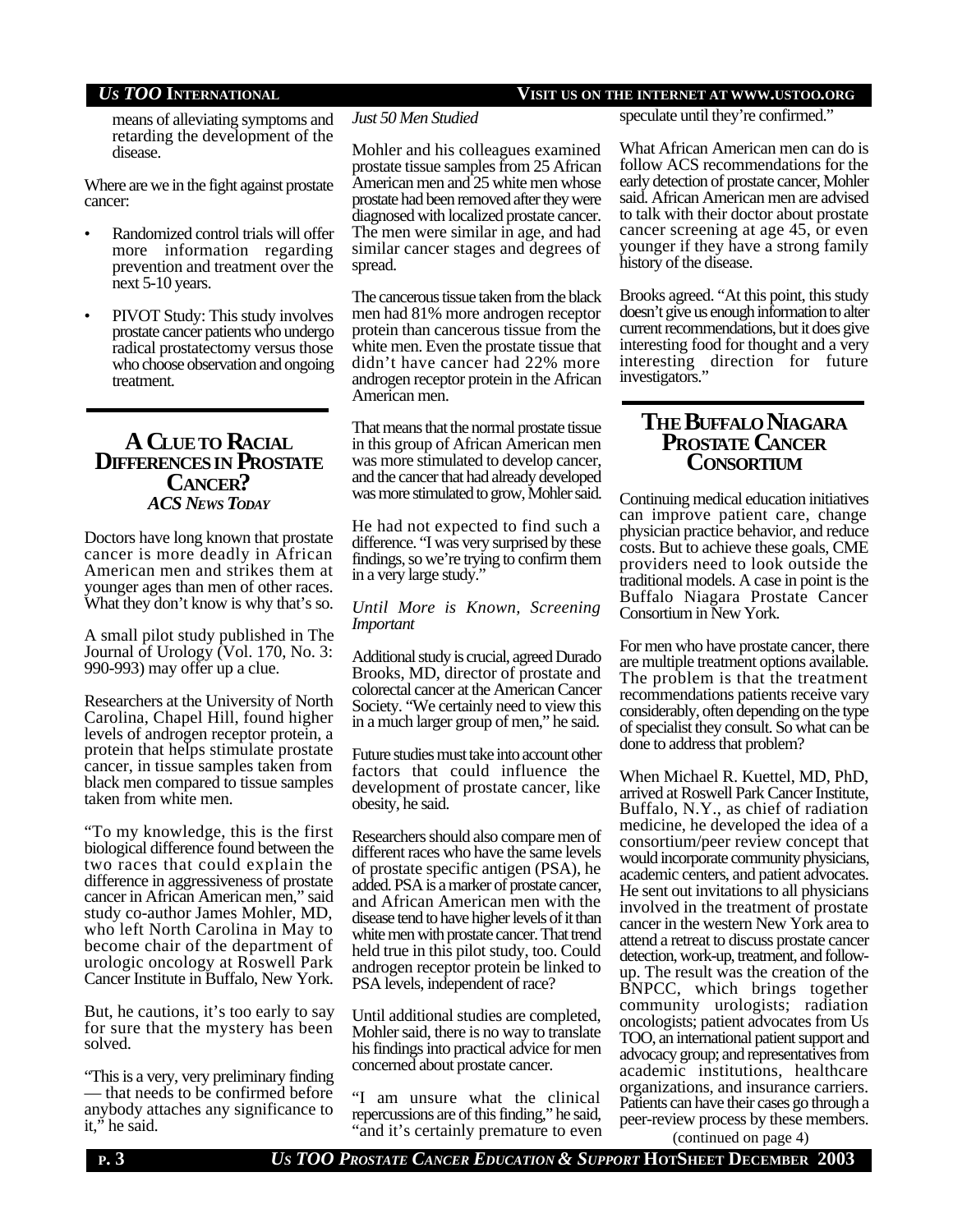### *US TOO* **INTERNATIONAL VISIT US ON THE INTERNET AT WWW.USTOO.ORG**

means of alleviating symptoms and retarding the development of the disease.

Where are we in the fight against prostate cancer:

- Randomized control trials will offer more information regarding prevention and treatment over the next 5-10 years.
- PIVOT Study: This study involves prostate cancer patients who undergo radical prostatectomy versus those who choose observation and ongoing treatment.

### **A CLUETO RACIAL DIFFERENCESIN PROSTATE CANCER?** *ACS NEWS TODAY*

Doctors have long known that prostate cancer is more deadly in African American men and strikes them at younger ages than men of other races. What they don't know is why that's so.

A small pilot study published in The Journal of Urology (Vol. 170, No. 3: 990-993) may offer up a clue.

Researchers at the University of North Carolina, Chapel Hill, found higher levels of androgen receptor protein, a protein that helps stimulate prostate cancer, in tissue samples taken from black men compared to tissue samples taken from white men.

"To my knowledge, this is the first biological difference found between the two races that could explain the difference in aggressiveness of prostate cancer in African American men," said study co-author James Mohler, MD, who left North Carolina in May to become chair of the department of urologic oncology at Roswell Park Cancer Institute in Buffalo, New York.

But, he cautions, it's too early to say for sure that the mystery has been solved.

"This is a very, very preliminary finding — that needs to be confirmed before anybody attaches any significance to it," he said.

#### *Just 50 Men Studied*

Mohler and his colleagues examined prostate tissue samples from 25 African American men and 25 white men whose prostate had been removed after they were diagnosed with localized prostate cancer. The men were similar in age, and had similar cancer stages and degrees of spread.

The cancerous tissue taken from the black men had 81% more androgen receptor protein than cancerous tissue from the white men. Even the prostate tissue that didn't have cancer had 22% more androgen receptor protein in the African American men.

That means that the normal prostate tissue in this group of African American men was more stimulated to develop cancer, and the cancer that had already developed was more stimulated to grow, Mohler said.

He had not expected to find such a difference. "I was very surprised by these findings, so we're trying to confirm them in a very large study."

#### *Until More is Known, Screening Important*

Additional study is crucial, agreed Durado Brooks, MD, director of prostate and colorectal cancer at the American Cancer Society. "We certainly need to view this in a much larger group of men," he said.

Future studies must take into account other factors that could influence the development of prostate cancer, like obesity, he said.

Researchers should also compare men of different races who have the same levels of prostate specific antigen (PSA), he added. PSA is a marker of prostate cancer, and African American men with the disease tend to have higher levels of it than white men with prostate cancer. That trend held true in this pilot study, too. Could androgen receptor protein be linked to PSA levels, independent of race?

Until additional studies are completed, Mohler said, there is no way to translate his findings into practical advice for men concerned about prostate cancer.

"I am unsure what the clinical repercussions are of this finding," he said, "and it's certainly premature to even speculate until they're confirmed."

What African American men can do is follow ACS recommendations for the early detection of prostate cancer, Mohler said. African American men are advised to talk with their doctor about prostate cancer screening at age 45, or even younger if they have a strong family history of the disease.

Brooks agreed. "At this point, this study doesn't give us enough information to alter current recommendations, but it does give interesting food for thought and a very interesting direction for future investigators."

### **THE BUFFALO NIAGARA PROSTATE CANCER CONSORTIUM**

Continuing medical education initiatives can improve patient care, change physician practice behavior, and reduce costs. But to achieve these goals, CME providers need to look outside the traditional models. A case in point is the Buffalo Niagara Prostate Cancer Consortium in New York.

For men who have prostate cancer, there are multiple treatment options available. The problem is that the treatment recommendations patients receive vary considerably, often depending on the type of specialist they consult. So what can be done to address that problem?

When Michael R. Kuettel, MD, PhD, arrived at Roswell Park Cancer Institute, Buffalo, N.Y., as chief of radiation medicine, he developed the idea of a consortium/peer review concept that would incorporate community physicians, academic centers, and patient advocates. He sent out invitations to all physicians involved in the treatment of prostate cancer in the western New York area to attend a retreat to discuss prostate cancer detection, work-up, treatment, and followup. The result was the creation of the BNPCC, which brings together community urologists; radiation oncologists; patient advocates from Us TOO, an international patient support and advocacy group; and representatives from academic institutions, healthcare organizations, and insurance carriers. Patients can have their cases go through a peer-review process by these members.

(continued on page 4)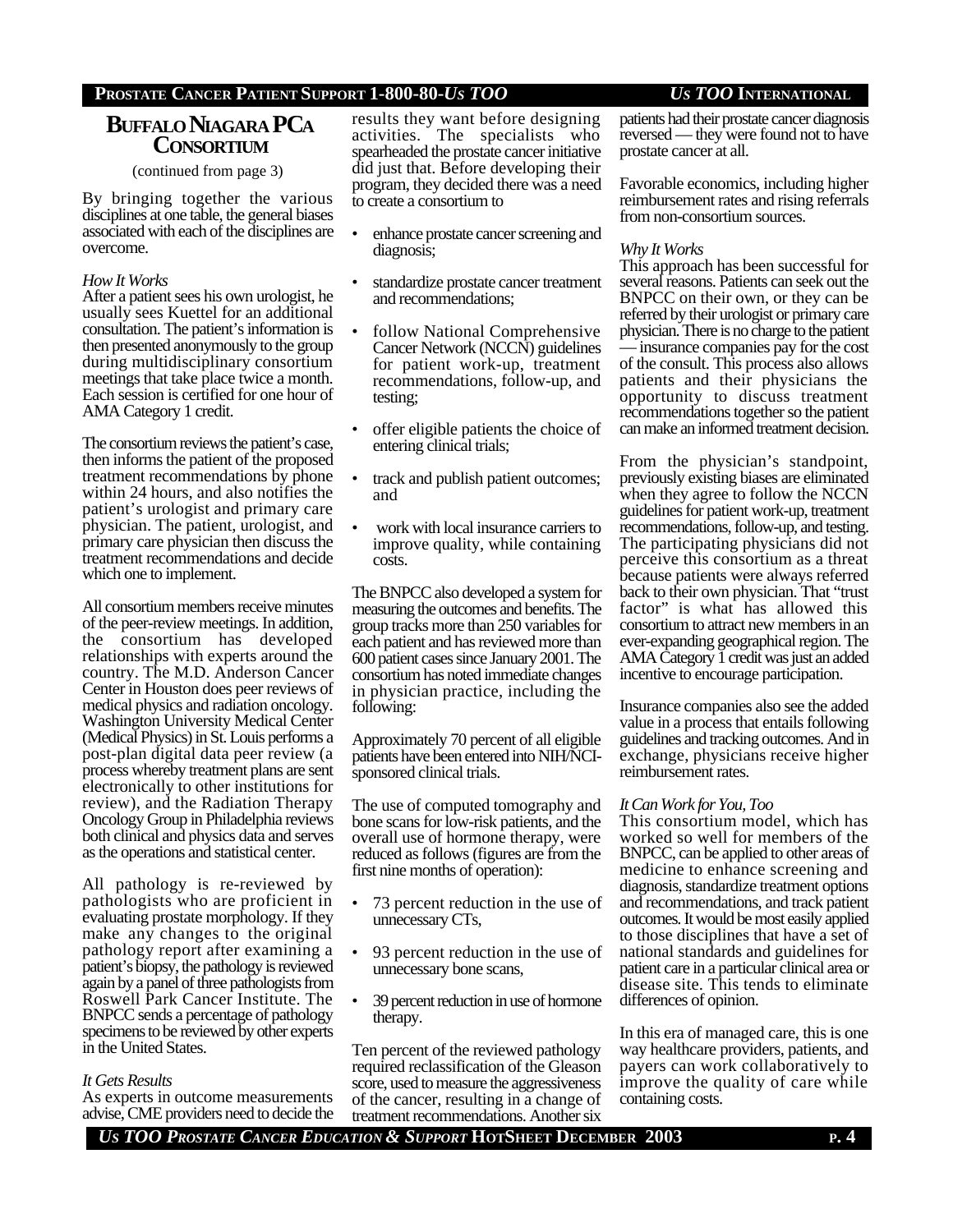### **BUFFALO NIAGARA PCA CONSORTIUM**

(continued from page 3)

By bringing together the various disciplines at one table, the general biases associated with each of the disciplines are overcome.

#### *How It Works*

After a patient sees his own urologist, he usually sees Kuettel for an additional consultation. The patient's information is then presented anonymously to the group during multidisciplinary consortium meetings that take place twice a month. Each session is certified for one hour of AMA Category 1 credit.

The consortium reviews the patient's case, then informs the patient of the proposed treatment recommendations by phone within 24 hours, and also notifies the patient's urologist and primary care physician. The patient, urologist, and primary care physician then discuss the treatment recommendations and decide which one to implement.

All consortium members receive minutes of the peer-review meetings. In addition, the consortium has developed relationships with experts around the country. The M.D. Anderson Cancer Center in Houston does peer reviews of medical physics and radiation oncology. Washington University Medical Center (Medical Physics) in St. Louis performs a post-plan digital data peer review (a process whereby treatment plans are sent electronically to other institutions for review), and the Radiation Therapy Oncology Group in Philadelphia reviews both clinical and physics data and serves as the operations and statistical center.

All pathology is re-reviewed by pathologists who are proficient in evaluating prostate morphology. If they make any changes to the original pathology report after examining a patient's biopsy, the pathology is reviewed again by a panel of three pathologists from Roswell Park Cancer Institute. The BNPCC sends a percentage of pathology specimens to be reviewed by other experts in the United States.

#### *It Gets Results*

As experts in outcome measurements advise, CME providers need to decide the results they want before designing activities. The specialists who spearheaded the prostate cancer initiative did just that. Before developing their program, they decided there was a need to create a consortium to

- enhance prostate cancer screening and diagnosis;
- standardize prostate cancer treatment and recommendations;
- follow National Comprehensive Cancer Network (NCCN) guidelines for patient work-up, treatment recommendations, follow-up, and testing;
- offer eligible patients the choice of entering clinical trials;
- track and publish patient outcomes; and
- work with local insurance carriers to improve quality, while containing costs.

The BNPCC also developed a system for measuring the outcomes and benefits. The group tracks more than 250 variables for each patient and has reviewed more than 600 patient cases since January 2001. The consortium has noted immediate changes in physician practice, including the following:

Approximately 70 percent of all eligible patients have been entered into NIH/NCIsponsored clinical trials.

The use of computed tomography and bone scans for low-risk patients, and the overall use of hormone therapy, were reduced as follows (figures are from the first nine months of operation):

- 73 percent reduction in the use of unnecessary CTs,
- 93 percent reduction in the use of unnecessary bone scans,
- 39 percent reduction in use of hormone therapy.

Ten percent of the reviewed pathology required reclassification of the Gleason score, used to measure the aggressiveness of the cancer, resulting in a change of treatment recommendations. Another six

patients had their prostate cancer diagnosis reversed — they were found not to have prostate cancer at all.

Favorable economics, including higher reimbursement rates and rising referrals from non-consortium sources.

#### *Why It Works*

This approach has been successful for several reasons. Patients can seek out the BNPCC on their own, or they can be referred by their urologist or primary care physician. There is no charge to the patient — insurance companies pay for the cost of the consult. This process also allows patients and their physicians the opportunity to discuss treatment recommendations together so the patient can make an informed treatment decision.

From the physician's standpoint, previously existing biases are eliminated when they agree to follow the NCCN guidelines for patient work-up, treatment recommendations, follow-up, and testing. The participating physicians did not perceive this consortium as a threat because patients were always referred back to their own physician. That "trust factor" is what has allowed this consortium to attract new members in an ever-expanding geographical region. The AMA Category 1 credit was just an added incentive to encourage participation.

Insurance companies also see the added value in a process that entails following guidelines and tracking outcomes. And in exchange, physicians receive higher reimbursement rates.

#### *It Can Work for You, Too*

This consortium model, which has worked so well for members of the BNPCC, can be applied to other areas of medicine to enhance screening and diagnosis, standardize treatment options and recommendations, and track patient outcomes. It would be most easily applied to those disciplines that have a set of national standards and guidelines for patient care in a particular clinical area or disease site. This tends to eliminate differences of opinion.

In this era of managed care, this is one way healthcare providers, patients, and payers can work collaboratively to improve the quality of care while containing costs.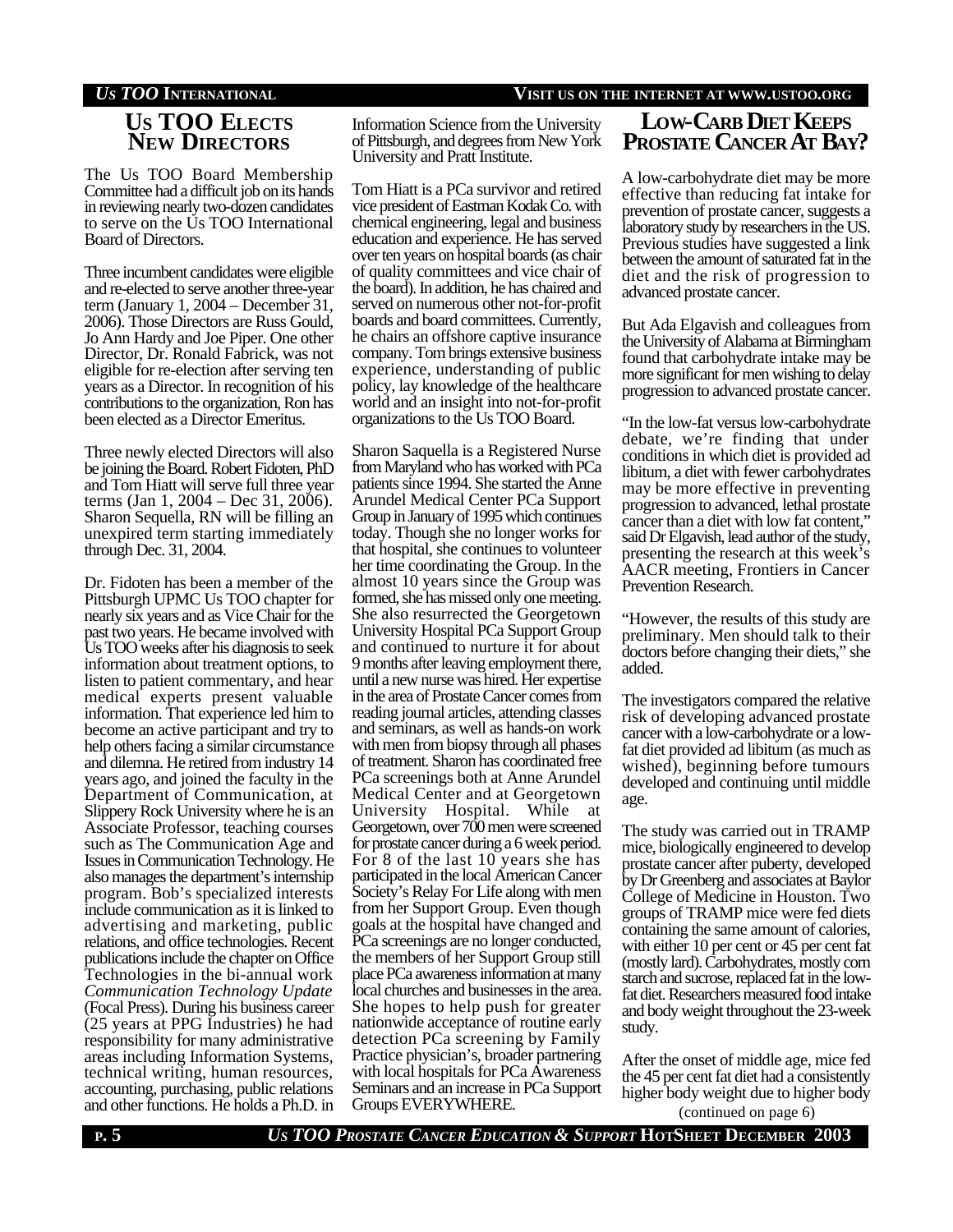### *US TOO* **INTERNATIONAL VISIT US ON THE INTERNET AT WWW.USTOO.ORG**

# **US TOO ELECTS NEW DIRECTORS**

The Us TOO Board Membership Committee had a difficult job on its hands in reviewing nearly two-dozen candidates to serve on the U<sub>s</sub> TOO International Board of Directors.

Three incumbent candidates were eligible and re-elected to serve another three-year term (January 1, 2004 – December 31, 2006). Those Directors are Russ Gould, Jo Ann Hardy and Joe Piper. One other Director, Dr. Ronald Fabrick, was not eligible for re-election after serving ten years as a Director. In recognition of his contributions to the organization, Ron has been elected as a Director Emeritus.

Three newly elected Directors will also be joining the Board. Robert Fidoten, PhD and Tom Hiatt will serve full three year terms (Jan 1, 2004 – Dec 31, 2006). Sharon Sequella, RN will be filling an unexpired term starting immediately through Dec. 31, 2004.

Dr. Fidoten has been a member of the Pittsburgh UPMC Us TOO chapter for nearly six years and as Vice Chair for the past two years. He became involved with Us TOO weeks after his diagnosis to seek information about treatment options, to listen to patient commentary, and hear medical experts present valuable information. That experience led him to become an active participant and try to help others facing a similar circumstance and dilemna. He retired from industry 14 years ago, and joined the faculty in the Department of Communication, at Slippery Rock University where he is an Associate Professor, teaching courses such as The Communication Age and Issues in Communication Technology. He also manages the department's internship program. Bob's specialized interests include communication as it is linked to advertising and marketing, public relations, and office technologies. Recent publications include the chapter on Office Technologies in the bi-annual work *Communication Technology Update* (Focal Press). During his business career (25 years at PPG Industries) he had responsibility for many administrative areas including Information Systems, technical writing, human resources, accounting, purchasing, public relations and other functions. He holds a Ph.D. in

Information Science from the University of Pittsburgh, and degrees from New York University and Pratt Institute.

Tom Hiatt is a PCa survivor and retired vice president of Eastman Kodak Co. with chemical engineering, legal and business education and experience. He has served over ten years on hospital boards (as chair of quality committees and vice chair of the board). In addition, he has chaired and served on numerous other not-for-profit boards and board committees. Currently, he chairs an offshore captive insurance company. Tom brings extensive business experience, understanding of public policy, lay knowledge of the healthcare world and an insight into not-for-profit organizations to the Us TOO Board.

Sharon Saquella is a Registered Nurse from Maryland who has worked with PCa patients since 1994. She started the Anne Arundel Medical Center PCa Support Group in January of 1995 which continues today. Though she no longer works for that hospital, she continues to volunteer her time coordinating the Group. In the almost 10 years since the Group was formed, she has missed only one meeting. She also resurrected the Georgetown University Hospital PCa Support Group and continued to nurture it for about 9 months after leaving employment there, until a new nurse was hired. Her expertise in the area of Prostate Cancer comes from reading journal articles, attending classes and seminars, as well as hands-on work with men from biopsy through all phases of treatment. Sharon has coordinated free PCa screenings both at Anne Arundel Medical Center and at Georgetown University Hospital. While at Georgetown, over 700 men were screened for prostate cancer during a 6 week period. For 8 of the last 10 years she has participated in the local American Cancer Society's Relay For Life along with men from her Support Group. Even though goals at the hospital have changed and PCa screenings are no longer conducted, the members of her Support Group still place PCa awareness information at many local churches and businesses in the area. She hopes to help push for greater nationwide acceptance of routine early detection PCa screening by Family Practice physician's, broader partnering with local hospitals for PCa Awareness Seminars and an increase in PCa Support Groups EVERYWHERE.

# **LOW-CARB DIET KEEPS PROSTATE CANCER AT BAY?**

A low-carbohydrate diet may be more effective than reducing fat intake for prevention of prostate cancer, suggests a laboratory study by researchers in the US. Previous studies have suggested a link between the amount of saturated fat in the diet and the risk of progression to advanced prostate cancer.

But Ada Elgavish and colleagues from the University of Alabama at Birmingham found that carbohydrate intake may be more significant for men wishing to delay progression to advanced prostate cancer.

"In the low-fat versus low-carbohydrate debate, we're finding that under conditions in which diet is provided ad libitum, a diet with fewer carbohydrates may be more effective in preventing progression to advanced, lethal prostate cancer than a diet with low fat content," said Dr Elgavish, lead author of the study, presenting the research at this week's AACR meeting, Frontiers in Cancer Prevention Research.

"However, the results of this study are preliminary. Men should talk to their doctors before changing their diets," she added.

The investigators compared the relative risk of developing advanced prostate cancer with a low-carbohydrate or a lowfat diet provided ad libitum (as much as wished), beginning before tumours developed and continuing until middle age.

The study was carried out in TRAMP mice, biologically engineered to develop prostate cancer after puberty, developed by Dr Greenberg and associates at Baylor College of Medicine in Houston. Two groups of TRAMP mice were fed diets containing the same amount of calories, with either 10 per cent or 45 per cent fat (mostly lard). Carbohydrates, mostly corn starch and sucrose, replaced fat in the lowfat diet. Researchers measured food intake and body weight throughout the 23-week study.

After the onset of middle age, mice fed the 45 per cent fat diet had a consistently higher body weight due to higher body

(continued on page 6)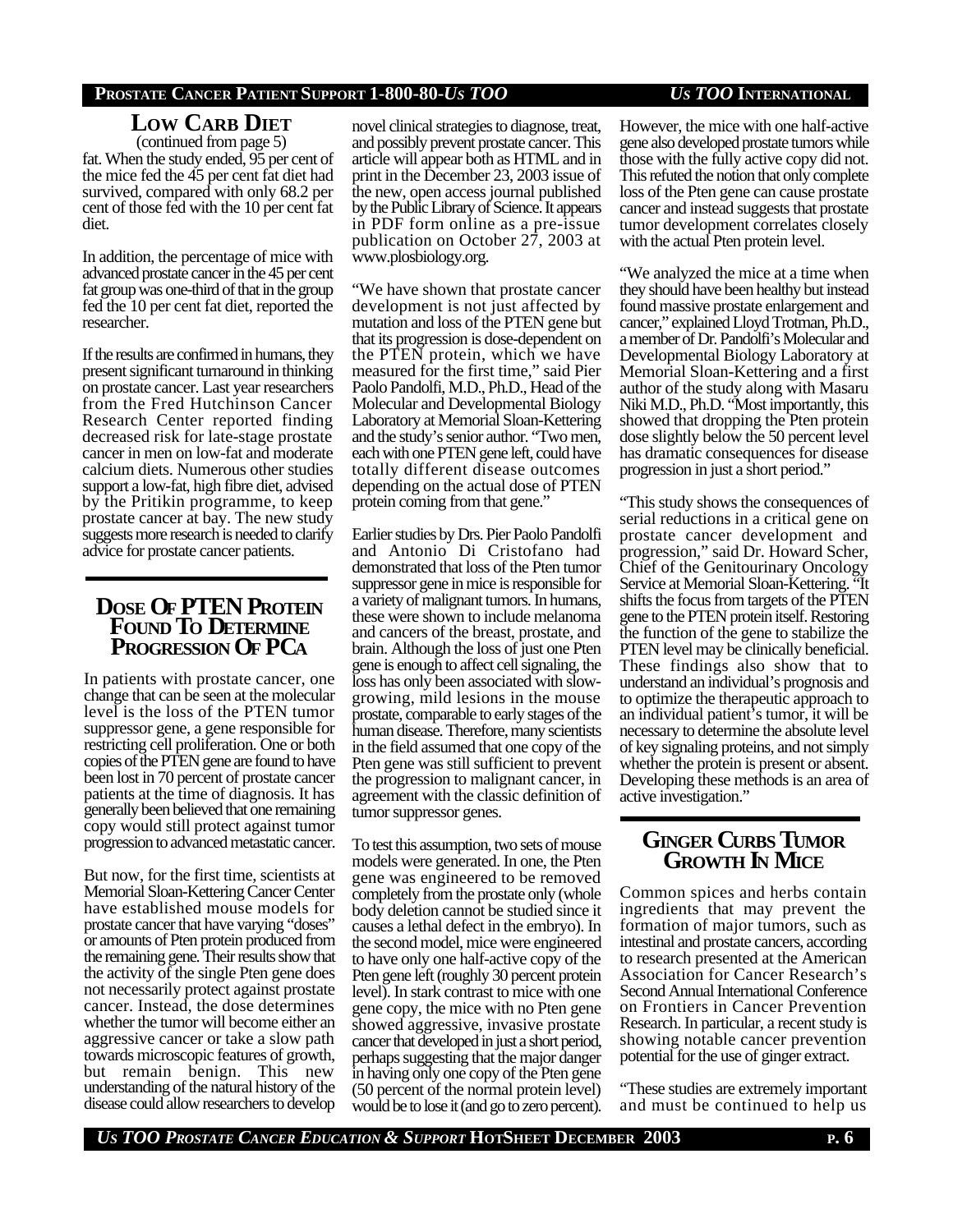**LOW CARB DIET** (continued from page 5)

fat. When the study ended, 95 per cent of the mice fed the 45 per cent fat diet had survived, compared with only 68.2 per cent of those fed with the 10 per cent fat diet.

In addition, the percentage of mice with advanced prostate cancer in the 45 per cent fat group was one-third of that in the group fed the 10 per cent fat diet, reported the researcher.

If the results are confirmed in humans, they present significant turnaround in thinking on prostate cancer. Last year researchers from the Fred Hutchinson Cancer Research Center reported finding decreased risk for late-stage prostate cancer in men on low-fat and moderate calcium diets. Numerous other studies support a low-fat, high fibre diet, advised by the Pritikin programme, to keep prostate cancer at bay. The new study suggests more research is needed to clarify advice for prostate cancer patients.

# **DOSE OF PTEN PROTEIN FOUND TO DETERMINE PROGRESSION OF PCA**

In patients with prostate cancer, one change that can be seen at the molecular level is the loss of the PTEN tumor suppressor gene, a gene responsible for restricting cell proliferation. One or both copies of the PTEN gene are found to have been lost in 70 percent of prostate cancer patients at the time of diagnosis. It has generally been believed that one remaining copy would still protect against tumor progression to advanced metastatic cancer.

But now, for the first time, scientists at Memorial Sloan-Kettering Cancer Center have established mouse models for prostate cancer that have varying "doses" or amounts of Pten protein produced from the remaining gene. Their results show that the activity of the single Pten gene does not necessarily protect against prostate cancer. Instead, the dose determines whether the tumor will become either an aggressive cancer or take a slow path towards microscopic features of growth, but remain benign. This new understanding of the natural history of the disease could allow researchers to develop

novel clinical strategies to diagnose, treat, and possibly prevent prostate cancer. This article will appear both as HTML and in print in the December 23, 2003 issue of the new, open access journal published by the Public Library of Science. It appears in PDF form online as a pre-issue publication on October 27, 2003 at www.plosbiology.org.

"We have shown that prostate cancer development is not just affected by mutation and loss of the PTEN gene but that its progression is dose-dependent on the PTEN protein, which we have measured for the first time," said Pier Paolo Pandolfi, M.D., Ph.D., Head of the Molecular and Developmental Biology Laboratory at Memorial Sloan-Kettering and the study's senior author. "Two men, each with one PTEN gene left, could have totally different disease outcomes depending on the actual dose of PTEN protein coming from that gene."

Earlier studies by Drs. Pier Paolo Pandolfi and Antonio Di Cristofano had demonstrated that loss of the Pten tumor suppressor gene in mice is responsible for a variety of malignant tumors. In humans, these were shown to include melanoma and cancers of the breast, prostate, and brain. Although the loss of just one Pten gene is enough to affect cell signaling, the loss has only been associated with slowgrowing, mild lesions in the mouse prostate, comparable to early stages of the human disease. Therefore, many scientists in the field assumed that one copy of the Pten gene was still sufficient to prevent the progression to malignant cancer, in agreement with the classic definition of tumor suppressor genes.

To test this assumption, two sets of mouse models were generated. In one, the Pten gene was engineered to be removed completely from the prostate only (whole body deletion cannot be studied since it causes a lethal defect in the embryo). In the second model, mice were engineered to have only one half-active copy of the Pten gene left (roughly 30 percent protein level). In stark contrast to mice with one gene copy, the mice with no Pten gene showed aggressive, invasive prostate cancer that developed in just a short period, perhaps suggesting that the major danger in having only one copy of the Pten gene (50 percent of the normal protein level) would be to lose it (and go to zero percent).

However, the mice with one half-active gene also developed prostate tumors while those with the fully active copy did not. This refuted the notion that only complete loss of the Pten gene can cause prostate cancer and instead suggests that prostate tumor development correlates closely with the actual Pten protein level.

"We analyzed the mice at a time when they should have been healthy but instead found massive prostate enlargement and cancer," explained Lloyd Trotman, Ph.D., a member of Dr. Pandolfi's Molecular and Developmental Biology Laboratory at Memorial Sloan-Kettering and a first author of the study along with Masaru Niki M.D., Ph.D. "Most importantly, this showed that dropping the Pten protein dose slightly below the 50 percent level has dramatic consequences for disease progression in just a short period."

"This study shows the consequences of serial reductions in a critical gene on prostate cancer development and progression," said Dr. Howard Scher, Chief of the Genitourinary Oncology Service at Memorial Sloan-Kettering. "It shifts the focus from targets of the PTEN gene to the PTEN protein itself. Restoring the function of the gene to stabilize the PTEN level may be clinically beneficial. These findings also show that to understand an individual's prognosis and to optimize the therapeutic approach to an individual patient's tumor, it will be necessary to determine the absolute level of key signaling proteins, and not simply whether the protein is present or absent. Developing these methods is an area of active investigation."

# **GINGER CURBS TUMOR GROWTH IN MICE**

Common spices and herbs contain ingredients that may prevent the formation of major tumors, such as intestinal and prostate cancers, according to research presented at the American Association for Cancer Research's Second Annual International Conference on Frontiers in Cancer Prevention Research. In particular, a recent study is showing notable cancer prevention potential for the use of ginger extract.

"These studies are extremely important and must be continued to help us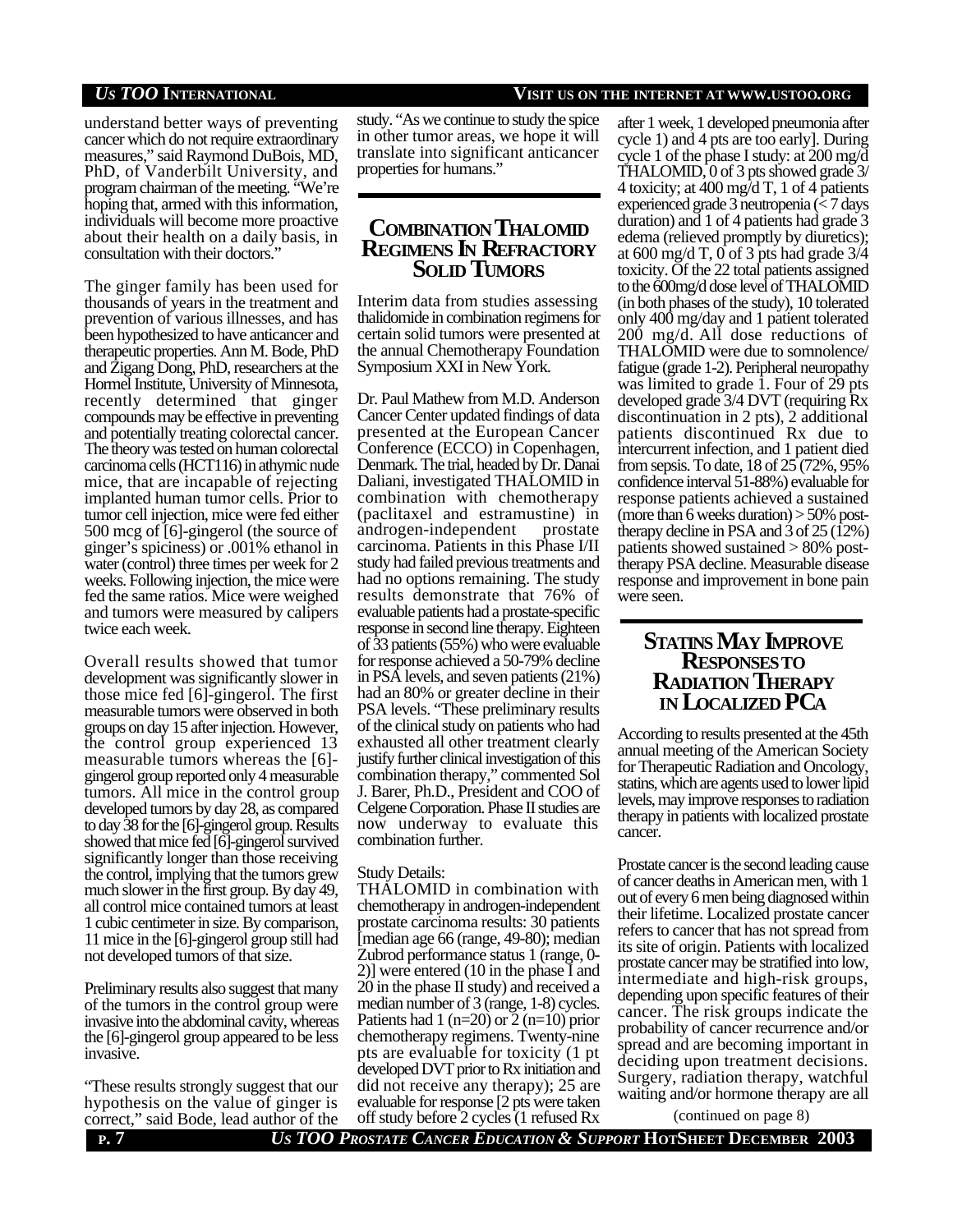#### *US TOO* **INTERNATIONAL VISIT US ON THE INTERNET AT WWW.USTOO.ORG**

understand better ways of preventing cancer which do not require extraordinary measures," said Raymond DuBois, MD, PhD, of Vanderbilt University, and program chairman of the meeting. "We're hoping that, armed with this information, individuals will become more proactive about their health on a daily basis, in consultation with their doctors."

The ginger family has been used for thousands of years in the treatment and prevention of various illnesses, and has been hypothesized to have anticancer and therapeutic properties. Ann M. Bode, PhD and Zigang Dong, PhD, researchers at the Hormel Institute, University of Minnesota, recently determined that ginger compounds may be effective in preventing and potentially treating colorectal cancer. The theory was tested on human colorectal carcinoma cells (HCT116) in athymic nude mice, that are incapable of rejecting implanted human tumor cells. Prior to tumor cell injection, mice were fed either 500 mcg of [6]-gingerol (the source of ginger's spiciness) or .001% ethanol in water (control) three times per week for 2 weeks. Following injection, the mice were fed the same ratios. Mice were weighed and tumors were measured by calipers twice each week.

Overall results showed that tumor development was significantly slower in those mice fed [6]-gingerol. The first measurable tumors were observed in both groups on day 15 after injection. However, the control group experienced 13 measurable tumors whereas the [6] gingerol group reported only 4 measurable tumors. All mice in the control group developed tumors by day 28, as compared to day 38 for the [6]-gingerol group. Results showed that mice fed [6]-gingerol survived significantly longer than those receiving the control, implying that the tumors grew much slower in the first group. By day 49, all control mice contained tumors at least 1 cubic centimeter in size. By comparison, 11 mice in the [6]-gingerol group still had not developed tumors of that size.

Preliminary results also suggest that many of the tumors in the control group were invasive into the abdominal cavity, whereas the [6]-gingerol group appeared to be less invasive.

"These results strongly suggest that our hypothesis on the value of ginger is correct," said Bode, lead author of the

study. "As we continue to study the spice in other tumor areas, we hope it will translate into significant anticancer properties for humans."

## **COMBINATION THALOMID REGIMENS IN REFRACTORY SOLID TUMORS**

Interim data from studies assessing thalidomide in combination regimens for certain solid tumors were presented at the annual Chemotherapy Foundation Symposium XXI in New York.

Dr. Paul Mathew from M.D. Anderson Cancer Center updated findings of data presented at the European Cancer Conference (ECCO) in Copenhagen, Denmark. The trial, headed by Dr. Danai Daliani, investigated THALOMID in combination with chemotherapy (paclitaxel and estramustine) in androgen-independent prostate carcinoma. Patients in this Phase I/II study had failed previous treatments and had no options remaining. The study results demonstrate that 76% of evaluable patients had a prostate-specific response in second line therapy. Eighteen of 33 patients (55%) who were evaluable for response achieved a 50-79% decline in PSA levels, and seven patients (21%) had an 80% or greater decline in their PSA levels. "These preliminary results of the clinical study on patients who had exhausted all other treatment clearly justify further clinical investigation of this combination therapy," commented Sol J. Barer, Ph.D., President and COO of Celgene Corporation. Phase II studies are now underway to evaluate this combination further.

#### Study Details:

THALOMID in combination with chemotherapy in androgen-independent prostate carcinoma results: 30 patients [median age 66 (range, 49-80); median Zubrod performance status 1 (range, 0- 2)] were entered (10 in the phase I and 20 in the phase II study) and received a median number of 3 (range, 1-8) cycles. Patients had  $1$  (n=20) or  $2$  (n=10) prior chemotherapy regimens. Twenty-nine pts are evaluable for toxicity (1 pt developed DVT prior to Rx initiation and did not receive any therapy); 25 are evaluable for response [2 pts were taken off study before 2 cycles (1 refused Rx

after 1 week, 1 developed pneumonia after cycle 1) and 4 pts are too early]. During cycle 1 of the phase I study: at 200 mg/d THALOMID, 0 of 3 pts showed grade 3/ 4 toxicity; at 400 mg/d T, 1 of 4 patients experienced grade 3 neutropenia (< 7 days duration) and 1 of 4 patients had grade 3 edema (relieved promptly by diuretics); at 600 mg/d T,  $0$  of 3 pts had grade 3/4 toxicity. Of the 22 total patients assigned to the 600mg/d dose level of THALOMID (in both phases of the study), 10 tolerated only 400 mg/day and 1 patient tolerated 200 mg/d. All dose reductions of THALOMID were due to somnolence/ fatigue (grade 1-2). Peripheral neuropathy was limited to grade 1. Four of 29 pts developed grade 3/4 DVT (requiring Rx discontinuation in 2 pts), 2 additional patients discontinued Rx due to intercurrent infection, and 1 patient died from sepsis. To date, 18 of 25 (72%, 95% confidence interval 51-88%) evaluable for response patients achieved a sustained (more than 6 weeks duration)  $>$  50% posttherapy decline in PSA and  $3$  of  $25(12%)$ patients showed sustained > 80% posttherapy PSA decline. Measurable disease response and improvement in bone pain were seen.

### **STATINS MAY IMPROVE RESPONSESTO RADIATION THERAPY IN LOCALIZED PCA**

According to results presented at the 45th annual meeting of the American Society for Therapeutic Radiation and Oncology, statins, which are agents used to lower lipid levels, may improve responses to radiation therapy in patients with localized prostate cancer.

Prostate cancer is the second leading cause of cancer deaths in American men, with 1 out of every 6 men being diagnosed within their lifetime. Localized prostate cancer refers to cancer that has not spread from its site of origin. Patients with localized prostate cancer may be stratified into low, intermediate and high-risk groups, depending upon specific features of their cancer. The risk groups indicate the probability of cancer recurrence and/or spread and are becoming important in deciding upon treatment decisions. Surgery, radiation therapy, watchful waiting and/or hormone therapy are all

(continued on page 8)